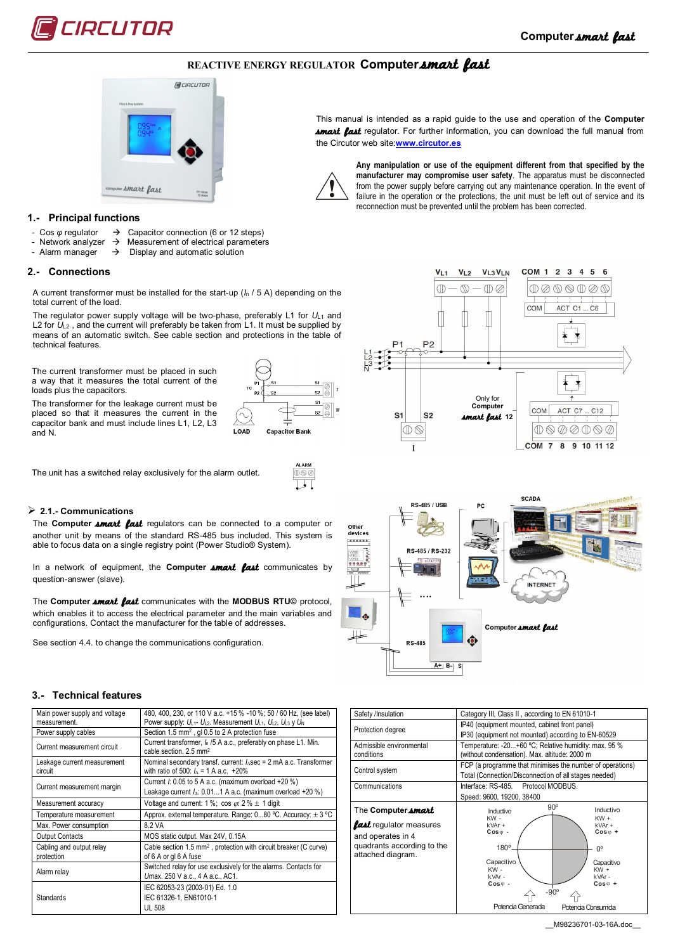

# **REACTIVE ENERGY REGULATOR Computer smart fast**



## **1.- Principal functions**

- Cos  $\varphi$  regulator  $\rightarrow$  Capacitor connection (6 or 12 steps)<br>Network analyzer  $\rightarrow$  Measurement of electrical parameter
	- Measurement of electrical parameters
- Alarm manager  $\rightarrow$  Display and automatic solution

#### **2.- Connections**

A current transformer must be installed for the start-up (*I*<sup>n</sup> / 5 A) depending on the total current of the load.

The regulator power supply voltage will be two-phase, preferably L1 for  $U_{L1}$  and L2 for  $U_{L2}$ , and the current will preferably be taken from L1. It must be supplied by means of an automatic switch. See cable section and protections in the table of technical features.

The current transformer must be placed in such a way that it measures the total current of the loads plus the capacitors.

The transformer for the leakage current must be placed so that it measures the current in the capacitor bank and must include lines L1, L2, L3 and N.

 $51$  $rac{51}{52}$  $rac{51}{20}$  $52 \n\bigotimes$ LOAD **Capacitor Bank** 

**AL ADE** 

The unit has a switched relay exclusively for the alarm outlet.

# **2.1.- Communications**

The **Computer** *smart* fast regulators can be connected to a computer or another unit by means of the standard RS-485 bus included. This system is able to focus data on a single registry point (Power Studio® System).

In a network of equipment, the **Computer smart fast** communicates by question-answer (slave).

The **Computer** *smart fast* communicates with the **MODBUS RTU**© protocol, which enables it to access the electrical parameter and the main variables and configurations. Contact the manufacturer for the table of addresses.

See section 4.4. to change the communications configuration.

## **3.- Technical features**

| Main power supply and voltage<br>measurement. | 480, 400, 230, or 110 V a.c. +15 % -10 %; 50 / 60 Hz, (see label)<br>Power supply: UL1- UL2. Measurement UL1, UL2, UL3 y U <sub>N</sub> |
|-----------------------------------------------|-----------------------------------------------------------------------------------------------------------------------------------------|
| Power supply cables                           | Section 1.5 mm <sup>2</sup> , gl 0.5 to 2 A protection fuse                                                                             |
| Current measurement circuit                   | Current transformer, I <sub>n</sub> /5 A a.c., preferably on phase L1. Min.<br>cable section. 2.5 mm <sup>2</sup>                       |
| Leakage current measurement<br>circuit        | Nominal secondary transf. current: $I_{\Delta}$ sec = 2 mA a.c. Transformer<br>with ratio of 500: $I_2 = 1$ A a.c. +20%                 |
| Current measurement margin                    | Current $l$ : 0.05 to 5 A a.c. (maximum overload +20 %)<br>Leakage current $I_{\Delta}$ : 0.011 A a.c. (maximum overload +20 %)         |
| Measurement accuracy                          | Voltage and current: 1 %; cos $\varphi$ : 2 % $\pm$ 1 digit                                                                             |
| Temperature measurement                       | Approx. external temperature. Range: $080$ °C. Accuracy: $\pm$ 3 °C                                                                     |
| Max. Power consumption                        | 8.2 VA                                                                                                                                  |
| <b>Output Contacts</b>                        | MOS static output. Max 24V, 0.15A                                                                                                       |
| Cabling and output relay<br>protection        | Cable section 1.5 mm <sup>2</sup> , protection with circuit breaker (C curve)<br>of 6 A or gl 6 A fuse                                  |
| Alarm relay                                   | Switched relay for use exclusively for the alarms. Contacts for<br>Umax. 250 V a.c., 4 A a.c., AC1.                                     |
| <b>Standards</b>                              | IEC 62053-23 (2003-01) Ed. 1.0<br>IEC 61326-1, EN61010-1<br><b>UL 508</b>                                                               |

This manual is intended as a rapid guide to the use and operation of the **Computer Amart fast** regulator. For further information, you can download the full manual from the Circutor web site:**www.circutor.es**



**Any manipulation or use of the equipment different from that specified by the manufacturer may compromise user safety**. The apparatus must be disconnected from the power supply before carrying out any maintenance operation. In the event of failure in the operation or the protections, the unit must be left out of service and its reconnection must be prevented until the problem has been corrected.





| Safety /Insulation                                                                                     | Category III, Class II, according to EN 61010-1                                                                                                                                                                                                   |  |  |  |  |  |  |
|--------------------------------------------------------------------------------------------------------|---------------------------------------------------------------------------------------------------------------------------------------------------------------------------------------------------------------------------------------------------|--|--|--|--|--|--|
| Protection degree                                                                                      | IP40 (equipment mounted, cabinet front panel)<br>IP30 (equipment not mounted) according to EN-60529                                                                                                                                               |  |  |  |  |  |  |
| Admissible environmental<br>conditions                                                                 | Temperature: -20+60 °C; Relative humidity: max. 95 %<br>(without condensation). Max. altitude: 2000 m                                                                                                                                             |  |  |  |  |  |  |
| Control system                                                                                         | FCP (a programme that minimises the number of operations)<br>Total (Connection/Disconnection of all stages needed)                                                                                                                                |  |  |  |  |  |  |
| Communications                                                                                         | Interface: RS-485. Protocol MODBUS.<br>Speed: 9600, 19200, 38400                                                                                                                                                                                  |  |  |  |  |  |  |
| The Computer <i>amart</i>                                                                              | $90^{\circ}$<br>Inductivo<br>Inductivo                                                                                                                                                                                                            |  |  |  |  |  |  |
| <b>fast</b> regulator measures<br>and operates in 4<br>quadrants according to the<br>attached diagram. | KW-<br>$KW +$<br>$k$ VAr +<br>$kVar +$<br>$Cos0$ -<br>$Cos \omega +$<br>180°<br>0°<br>Capacitivo<br>Capacitivo<br>KW-<br>$KW +$<br>kVAr-<br>kVAr-<br>$Cos \varphi$ -<br>$Cos \varphi +$<br>$-90^\circ$<br>Potencia Generada<br>Potencia Consumida |  |  |  |  |  |  |